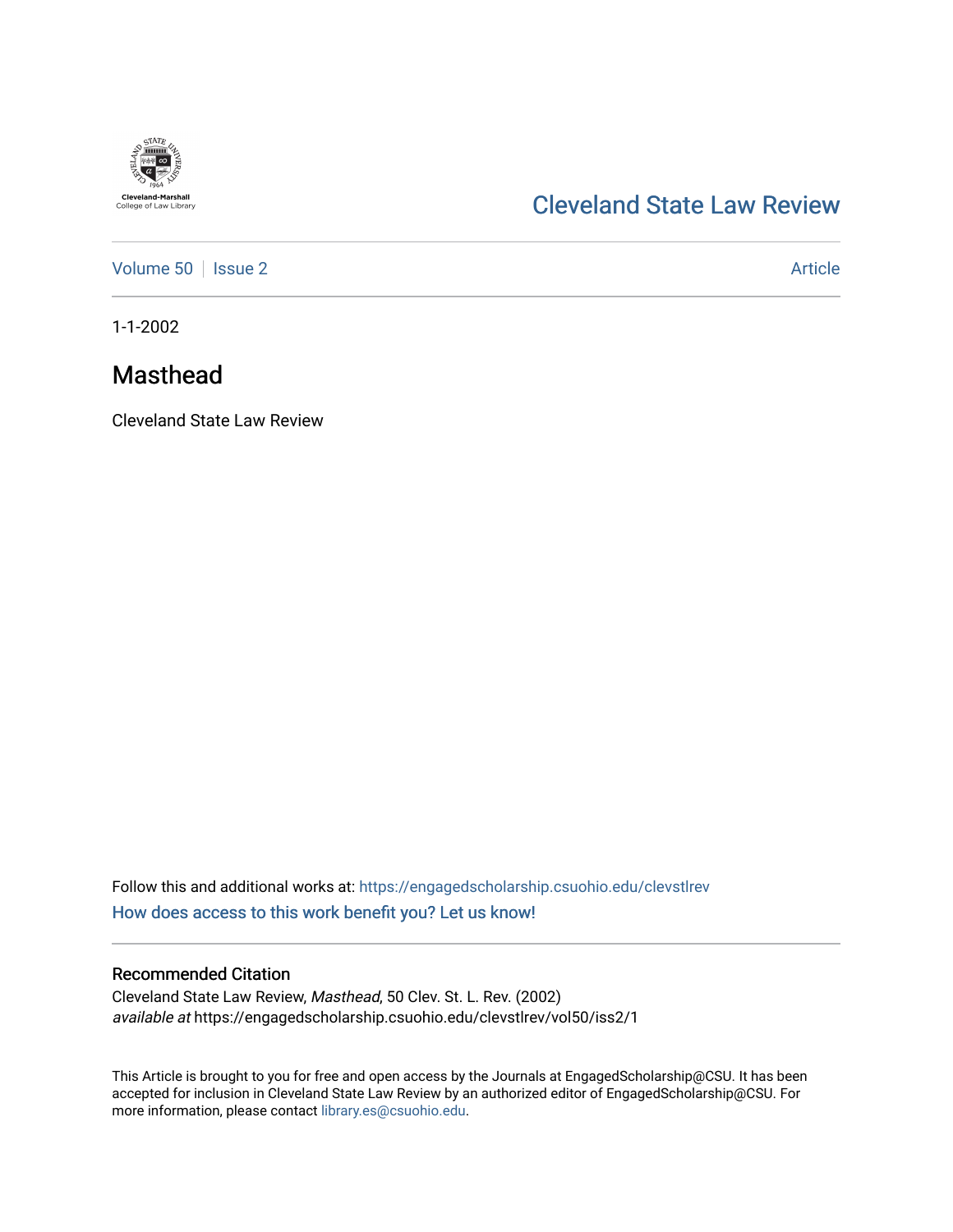

# [Cleveland State Law Review](https://engagedscholarship.csuohio.edu/clevstlrev)

[Volume 50](https://engagedscholarship.csuohio.edu/clevstlrev/vol50) | [Issue 2](https://engagedscholarship.csuohio.edu/clevstlrev/vol50/iss2) Article

1-1-2002

# Masthead

Cleveland State Law Review

Follow this and additional works at: [https://engagedscholarship.csuohio.edu/clevstlrev](https://engagedscholarship.csuohio.edu/clevstlrev?utm_source=engagedscholarship.csuohio.edu%2Fclevstlrev%2Fvol50%2Fiss2%2F1&utm_medium=PDF&utm_campaign=PDFCoverPages) [How does access to this work benefit you? Let us know!](http://library.csuohio.edu/engaged/)

### Recommended Citation

Cleveland State Law Review, Masthead, 50 Clev. St. L. Rev. (2002) available at https://engagedscholarship.csuohio.edu/clevstlrev/vol50/iss2/1

This Article is brought to you for free and open access by the Journals at EngagedScholarship@CSU. It has been accepted for inclusion in Cleveland State Law Review by an authorized editor of EngagedScholarship@CSU. For more information, please contact [library.es@csuohio.edu](mailto:library.es@csuohio.edu).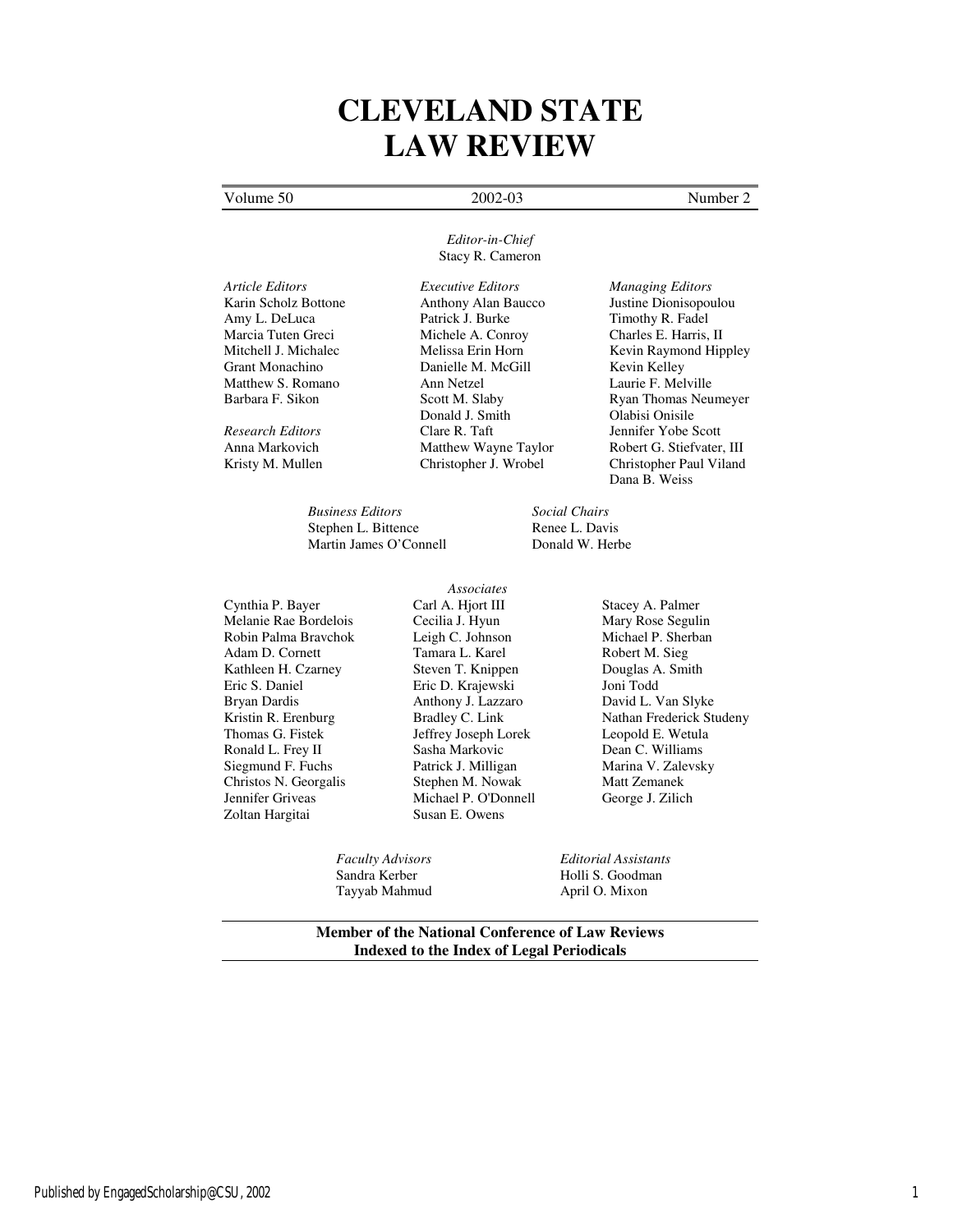# **CLEVELAND STATE LAW REVIEW**

#### Volume 50 2002-03 Number 2

#### *Editor-in-Chief*  Stacy R. Cameron

*Article Editors Executive Editors Managing Editors*

*Business Editors Social Chairs* Stephen L. Bittence **Renee L. Davis**<br>
Martin James O'Connell **Renet Bonald W. Herbe** Martin James O'Connell

Cynthia P. Bayer Melanie Rae Bordelois Robin Palma Bravchok Adam D. Cornett Kathleen H. Czarney Eric S. Daniel Bryan Dardis Kristin R. Erenburg Thomas G. Fistek Ronald L. Frey II Siegmund F. Fuchs Christos N. Georgalis Jennifer Griveas Zoltan Hargitai

*Associates*  Carl A. Hjort III Cecilia J. Hyun Leigh C. Johnson Tamara L. Karel Steven T. Knippen Eric D. Krajewski Anthony J. Lazzaro Bradley C. Link Jeffrey Joseph Lorek Sasha Markovic Patrick J. Milligan Stephen M. Nowak Michael P. O'Donnell Susan E. Owens

Tayyab Mahmud April O. Mixon

Karin Scholz Bottone **Anthony Alan Baucco** Justine Dionisopoulou<br>
Amy L. DeLuca Patrick J. Burke Timothy R. Fadel Marcia Tuten Greci Michele A. Conroy Charles E. Harris, II<br>Mitchell J. Michalec Melissa Erin Horn Kevin Raymond Hip Grant Monachino Danielle M. McGill Kevin Kelley Matthew S. Romano Ann Netzel Laurie F. Melville<br>
Barbara F. Sikon Scott M. Slaby Ryan Thomas Neu Donald J. Smith *Research Editors* Clare R. Taft Jennifer Yobe Scott

Timothy R. Fadel Mitchell J. Michalec Melissa Erin Horn Kevin Raymond Hippley<br>Grant Monachino Danielle M. McGill Kevin Kelley Scott M. Slaby Ryan Thomas Neumeyer<br>
Departure Olabisi Onisile<br>
Olabisi Onisile Anna Markovich Matthew Wayne Taylor Robert G. Stiefvater, III Kristy M. Mullen Christopher J. Wrobel Christopher Paul Viland Dana B. Weiss

Stacey A. Palmer Mary Rose Segulin Michael P. Sherban Robert M. Sieg Douglas A. Smith Joni Todd David L. Van Slyke Nathan Frederick Studeny Leopold E. Wetula Dean C. Williams Marina V. Zalevsky Matt Zemanek George J. Zilich

*Faculty Advisors Editorial Assistants*  Sandra Kerber Holli S. Goodman

#### **Member of the National Conference of Law Reviews Indexed to the Index of Legal Periodicals**